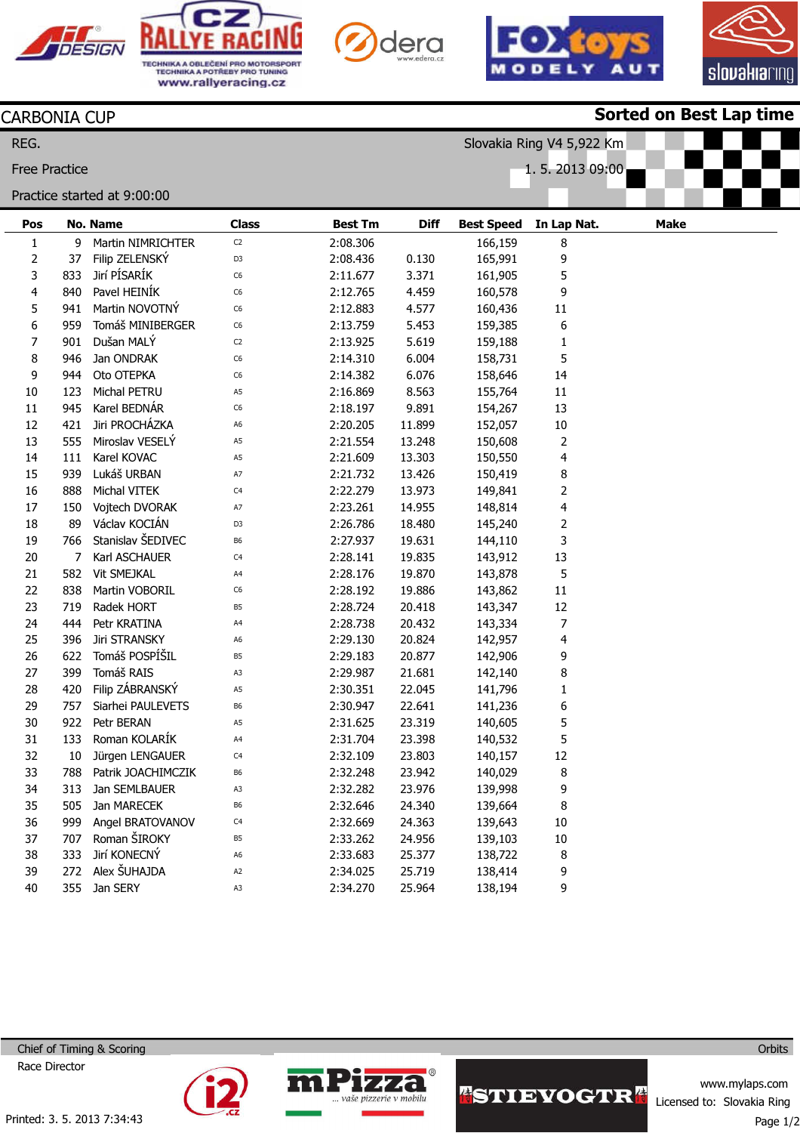







1. 5. 2013 09:00

Slovakia Ring V4 5,922 Km



## Sorted on Best Lap time

## CARBONIA CUP

Free Practice

Practice started at 9:00:00

REG.

| Pos            |                | <b>No. Name</b>      | <b>Class</b>   | <b>Best Tm</b> | <b>Diff</b> | <b>Best Speed</b> | In Lap Nat.             | <b>Make</b> |
|----------------|----------------|----------------------|----------------|----------------|-------------|-------------------|-------------------------|-------------|
| $\mathbf{1}$   | 9              | Martin NIMRICHTER    | C2             | 2:08.306       |             | 166,159           | $\bf 8$                 |             |
| $\mathbf 2$    | 37             | Filip ZELENSKÝ       | D <sub>3</sub> | 2:08.436       | 0.130       | 165,991           | 9                       |             |
| 3              | 833            | Jirí PÍSARÍK         | C6             | 2:11.677       | 3.371       | 161,905           | 5                       |             |
| 4              | 840            | Pavel HEINIK         | C6             | 2:12.765       | 4.459       | 160,578           | 9                       |             |
| 5              | 941            | Martin NOVOTNÝ       | C <sub>6</sub> | 2:12.883       | 4.577       | 160,436           | 11                      |             |
| 6              | 959            | Tomáš MINIBERGER     | C <sub>6</sub> | 2:13.759       | 5.453       | 159,385           | 6                       |             |
| $\overline{7}$ | 901            | Dušan MALÝ           | C2             | 2:13.925       | 5.619       | 159,188           | $\mathbf{1}$            |             |
| $\, 8$         | 946            | Jan ONDRAK           | C <sub>6</sub> | 2:14.310       | 6.004       | 158,731           | 5                       |             |
| 9              | 944            | Oto OTEPKA           | C <sub>6</sub> | 2:14.382       | 6.076       | 158,646           | 14                      |             |
| 10             | 123            | Michal PETRU         | A5             | 2:16.869       | 8.563       | 155,764           | 11                      |             |
| 11             | 945            | Karel BEDNAR         | C <sub>6</sub> | 2:18.197       | 9.891       | 154,267           | 13                      |             |
| 12             | 421            | Jiri PROCHÁZKA       | A <sub>6</sub> | 2:20.205       | 11.899      | 152,057           | $10\,$                  |             |
| 13             | 555            | Miroslav VESELY      | A5             | 2:21.554       | 13.248      | 150,608           | $\overline{2}$          |             |
| 14             | 111            | Karel KOVAC          | A5             | 2:21.609       | 13.303      | 150,550           | $\overline{\mathbf{4}}$ |             |
| 15             | 939            | Lukáš URBAN          | A7             | 2:21.732       | 13.426      | 150,419           | $\bf 8$                 |             |
| 16             | 888            | Michal VITEK         | C <sub>4</sub> | 2:22.279       | 13.973      | 149,841           | $\overline{2}$          |             |
| 17             | 150            | Vojtech DVORAK       | A7             | 2:23.261       | 14.955      | 148,814           | 4                       |             |
| 18             | 89             | Václav KOCIÁN        | D <sub>3</sub> | 2:26.786       | 18.480      | 145,240           | $\overline{2}$          |             |
| 19             | 766            | Stanislav ŠEDIVEC    | B <sub>6</sub> | 2:27.937       | 19.631      | 144,110           | 3                       |             |
| 20             | $\overline{7}$ | Karl ASCHAUER        | C <sub>4</sub> | 2:28.141       | 19.835      | 143,912           | 13                      |             |
| 21             | 582            | Vit SMEJKAL          | A4             | 2:28.176       | 19.870      | 143,878           | 5                       |             |
| 22             | 838            | Martin VOBORIL       | C <sub>6</sub> | 2:28.192       | 19.886      | 143,862           | 11                      |             |
| 23             | 719            | Radek HORT           | B <sub>5</sub> | 2:28.724       | 20.418      | 143,347           | 12                      |             |
| 24             | 444            | Petr KRATINA         | A4             | 2:28.738       | 20.432      | 143,334           | $\overline{7}$          |             |
| 25             | 396            | <b>Jiri STRANSKY</b> | A <sub>6</sub> | 2:29.130       | 20.824      | 142,957           | $\overline{\mathbf{4}}$ |             |
| 26             | 622            | Tomáš POSPÍŠIL       | B <sub>5</sub> | 2:29.183       | 20.877      | 142,906           | 9                       |             |
| 27             | 399            | Tomáš RAIS           | A3             | 2:29.987       | 21.681      | 142,140           | 8                       |             |
| 28             | 420            | Filip ZÁBRANSKÝ      | A5             | 2:30.351       | 22.045      | 141,796           | $\mathbf{1}$            |             |
| 29             | 757            | Siarhei PAULEVETS    | B <sub>6</sub> | 2:30.947       | 22.641      | 141,236           | 6                       |             |
| 30             | 922            | Petr BERAN           | A5             | 2:31.625       | 23.319      | 140,605           | 5                       |             |
| 31             | 133            | Roman KOLARÍK        | A4             | 2:31.704       | 23.398      | 140,532           | 5                       |             |
| 32             | 10             | Jürgen LENGAUER      | C <sub>4</sub> | 2:32.109       | 23.803      | 140,157           | 12                      |             |
| 33             | 788            | Patrik JOACHIMCZIK   | B <sub>6</sub> | 2:32.248       | 23.942      | 140,029           | $\bf 8$                 |             |
| 34             | 313            | Jan SEMLBAUER        | A3             | 2:32.282       | 23.976      | 139,998           | 9                       |             |
| 35             | 505            | Jan MARECEK          | B <sub>6</sub> | 2:32.646       | 24.340      | 139,664           | 8                       |             |
| 36             | 999            | Angel BRATOVANOV     | C <sub>4</sub> | 2:32.669       | 24.363      | 139,643           | 10                      |             |
| 37             | 707            | Roman ŠIROKY         | B <sub>5</sub> | 2:33.262       | 24.956      | 139,103           | $10\,$                  |             |
| 38             | 333            | Jirí KONECNÝ         | A <sub>6</sub> | 2:33.683       | 25.377      | 138,722           | 8                       |             |
| 39             | 272            | Alex ŠUHAJDA         | A <sub>2</sub> | 2:34.025       | 25.719      | 138,414           | 9                       |             |
| 40             | 355            | Jan SERY             | A3             | 2:34.270       | 25.964      | 138,194           | 9                       |             |
|                |                |                      |                |                |             |                   |                         |             |

**F** 

vaše pizzerie v mobilu

**WISTIEVOGTR** 

Chief of Timing & Scoring Race Director

www.mylaps.com Licensed to: Slovakia Ring Page 1/2

**Orbits**